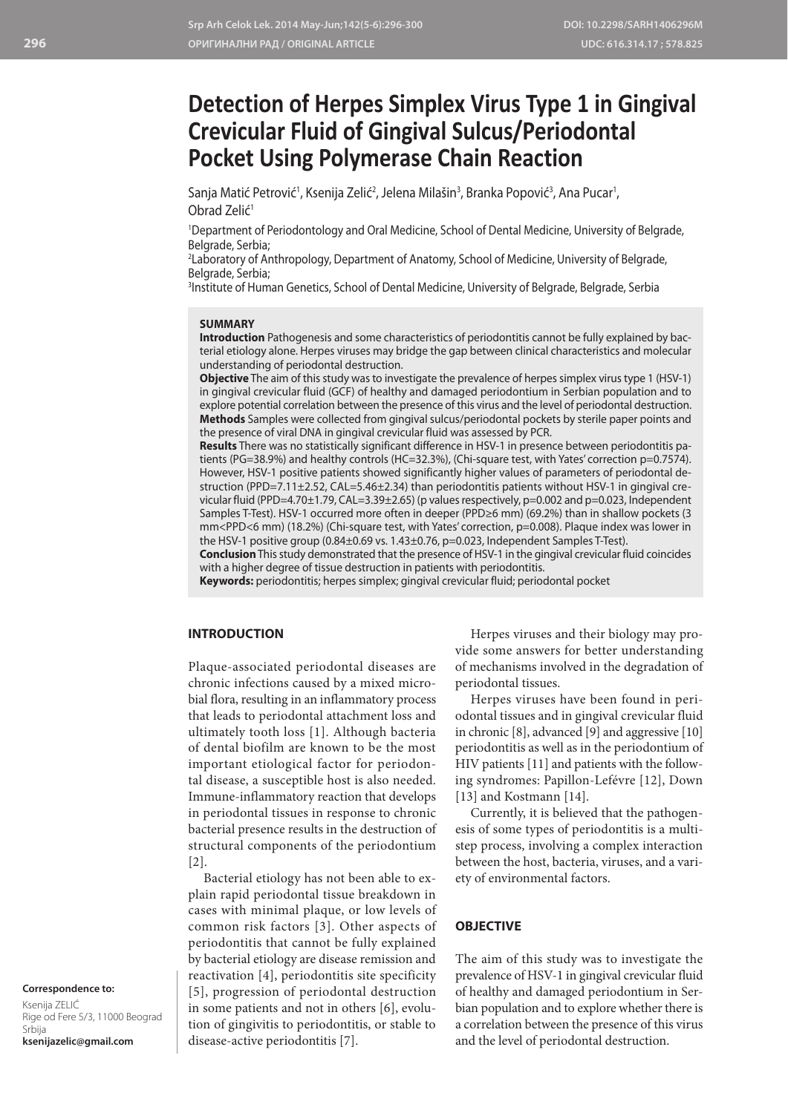# **Detection of Herpes Simplex Virus Type 1 in Gingival Crevicular Fluid of Gingival Sulcus/Periodontal Pocket Using Polymerase Chain Reaction**

Sanja Matić Petrović<sup>1</sup>, Ksenija Zelić<sup>2</sup>, Jelena Milašin<sup>3</sup>, Branka Popović<sup>3</sup>, Ana Pucar<sup>1</sup>, Obrad Zelić<sup>1</sup>

1 Department of Periodontology and Oral Medicine, School of Dental Medicine, University of Belgrade, Belgrade, Serbia;

2 Laboratory of Anthropology, Department of Anatomy, School of Medicine, University of Belgrade, Belgrade, Serbia;

3 Institute of Human Genetics, School of Dental Medicine, University of Belgrade, Belgrade, Serbia

#### **SUMMARY**

**Introduction** Pathogenesis and some characteristics of periodontitis cannot be fully explained by bacterial etiology alone. Herpes viruses may bridge the gap between clinical characteristics and molecular understanding of periodontal destruction.

**Objective** The aim of this study was to investigate the prevalence of herpes simplex virus type 1 (HSV-1) in gingival crevicular fluid (GCF) of healthy and damaged periodontium in Serbian population and to explore potential correlation between the presence of this virus and the level of periodontal destruction. **Methods** Samples were collected from gingival sulcus/periodontal pockets by sterile paper points and the presence of viral DNA in gingival crevicular fluid was assessed by PCR.

**Results** There was no statistically significant difference in HSV-1 in presence between periodontitis patients (PG=38.9%) and healthy controls (HC=32.3%), (Chi-square test, with Yates' correction p=0.7574). However, HSV-1 positive patients showed significantly higher values of parameters of periodontal destruction (PPD=7.11±2.52, CAL=5.46±2.34) than periodontitis patients without HSV-1 in gingival crevicular fluid (PPD=4.70±1.79, CAL=3.39±2.65) (p values respectively, p=0.002 and p=0.023, Independent Samples T-Test). HSV-1 occurred more often in deeper (PPD≥6 mm) (69.2%) than in shallow pockets (3 mm<PPD<6 mm) (18.2%) (Chi-square test, with Yates' correction, p=0.008). Plaque index was lower in the HSV-1 positive group (0.84±0.69 vs. 1.43±0.76, p=0.023, Independent Samples T-Test).

**Conclusion** This study demonstrated that the presence of HSV-1 in the gingival crevicular fluid coincides with a higher degree of tissue destruction in patients with periodontitis.

**Keywords:** periodontitis; herpes simplex; gingival crevicular fluid; periodontal pocket

#### **INTRODUCTION**

Plaque-associated periodontal diseases are chronic infections caused by a mixed microbial flora, resulting in an inflammatory process that leads to periodontal attachment loss and ultimately tooth loss [1]. Although bacteria of dental biofilm are known to be the most important etiological factor for periodontal disease, a susceptible host is also needed. Immune-inflammatory reaction that develops in periodontal tissues in response to chronic bacterial presence results in the destruction of structural components of the periodontium [2].

Bacterial etiology has not been able to explain rapid periodontal tissue breakdown in cases with minimal plaque, or low levels of common risk factors [3]. Other aspects of periodontitis that cannot be fully explained by bacterial etiology are disease remission and reactivation [4], periodontitis site specificity [5], progression of periodontal destruction in some patients and not in others [6], evolution of gingivitis to periodontitis, or stable to disease-active periodontitis [7].

Herpes viruses and their biology may provide some answers for better understanding of mechanisms involved in the degradation of periodontal tissues.

Herpes viruses have been found in periodontal tissues and in gingival crevicular fluid in chronic [8], advanced [9] and aggressive [10] periodontitis as well as in the periodontium of HIV patients [11] and patients with the following syndromes: Papillon-Lefévre [12], Down [13] and Kostmann [14].

Currently, it is believed that the pathogenesis of some types of periodontitis is a multistep process, involving a complex interaction between the host, bacteria, viruses, and a variety of environmental factors.

#### **OBJECTIVE**

The aim of this study was to investigate the prevalence of HSV-1 in gingival crevicular fluid of healthy and damaged periodontium in Serbian population and to explore whether there is a correlation between the presence of this virus and the level of periodontal destruction.

**Correspondence to:**

Ksenija ZELIĆ Rige od Fere 5/3, 11000 Beograd Srbija **ksenijazelic@gmail.com**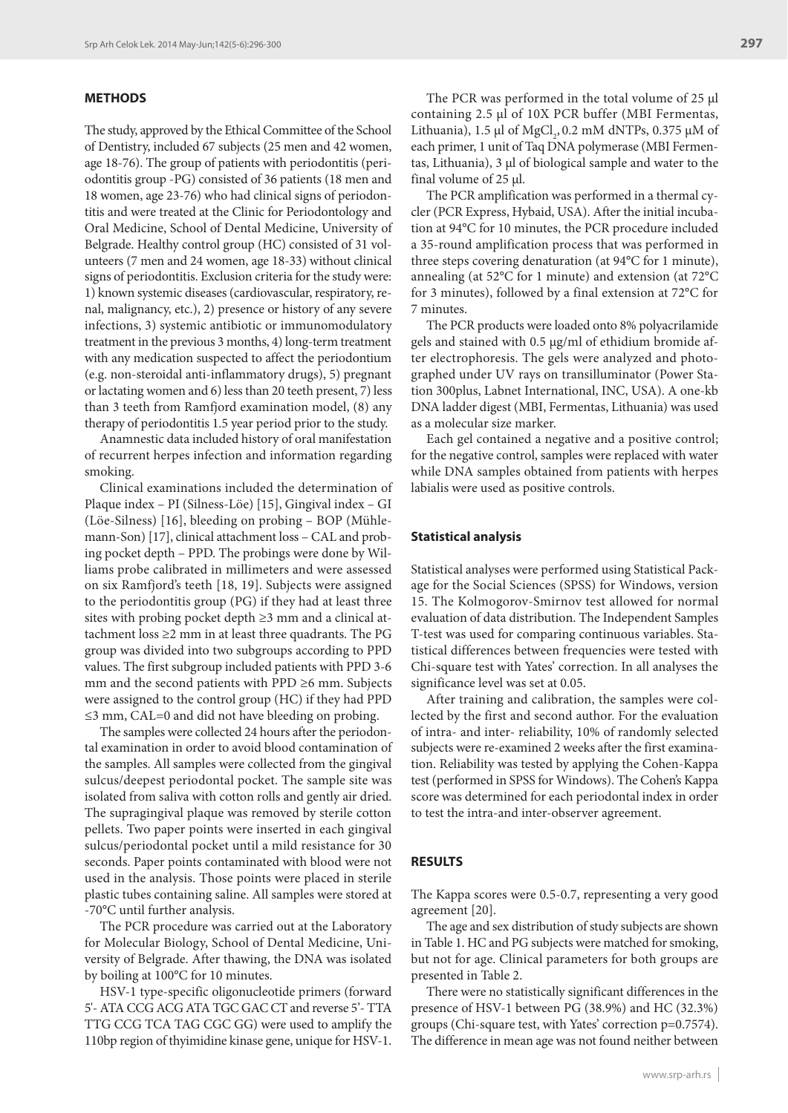## **METHODS**

The study, approved by the Ethical Committee of the School of Dentistry, included 67 subjects (25 men and 42 women, age 18-76). The group of patients with periodontitis (periodontitis group -PG) consisted of 36 patients (18 men and 18 women, age 23-76) who had clinical signs of periodontitis and were treated at the Clinic for Periodontology and Oral Medicine, School of Dental Medicine, University of Belgrade. Healthy control group (HC) consisted of 31 volunteers (7 men and 24 women, age 18-33) without clinical signs of periodontitis. Exclusion criteria for the study were: 1) known systemic diseases (cardiovascular, respiratory, renal, malignancy, etc.), 2) presence or history of any severe infections, 3) systemic antibiotic or immunomodulatory treatment in the previous 3 months, 4) long-term treatment with any medication suspected to affect the periodontium (e.g. non-steroidal anti-inflammatory drugs), 5) pregnant or lactating women and 6) less than 20 teeth present, 7) less than 3 teeth from Ramfjord examination model, (8) any therapy of periodontitis 1.5 year period prior to the study.

Anamnestic data included history of oral manifestation of recurrent herpes infection and information regarding smoking.

Clinical examinations included the determination of Plaque index – PI (Silness-Löe) [15], Gingival index – GI (Löe-Silness) [16], bleeding on probing – BOP (Mühlemann-Son) [17], clinical attachment loss – CAL and probing pocket depth – PPD. The probings were done by Williams probe calibrated in millimeters and were assessed on six Ramfjord's teeth [18, 19]. Subjects were assigned to the periodontitis group (PG) if they had at least three sites with probing pocket depth ≥3 mm and a clinical attachment loss ≥2 mm in at least three quadrants. The PG group was divided into two subgroups according to PPD values. The first subgroup included patients with PPD 3-6 mm and the second patients with PPD ≥6 mm. Subjects were assigned to the control group (HC) if they had PPD ≤3 mm, CAL=0 and did not have bleeding on probing.

The samples were collected 24 hours after the periodontal examination in order to avoid blood contamination of the samples. All samples were collected from the gingival sulcus/deepest periodontal pocket. The sample site was isolated from saliva with cotton rolls and gently air dried. The supragingival plaque was removed by sterile cotton pellets. Two paper points were inserted in each gingival sulcus/periodontal pocket until a mild resistance for 30 seconds. Paper points contaminated with blood were not used in the analysis. Those points were placed in sterile plastic tubes containing saline. All samples were stored at -70°C until further analysis.

The PCR procedure was carried out at the Laboratory for Molecular Biology, School of Dental Medicine, University of Belgrade. After thawing, the DNA was isolated by boiling at 100°C for 10 minutes.

HSV-1 type-specific oligonucleotide primers (forward 5'- ATA CCG ACG ATA TGC GAC CT and reverse 5'- TTA TTG CCG TCA TAG CGC GG) were used to amplify the 110bp region of thyimidine kinase gene, unique for HSV-1.

The PCR was performed in the total volume of 25 µl containing 2.5 µl of 10X PCR buffer (MBI Fermentas, Lithuania), 1.5 µl of MgCl<sub>2</sub>, 0.2 mM dNTPs, 0.375 µM of each primer, 1 unit of Taq DNA polymerase (MBI Fermentas, Lithuania), 3 μl of biological sample and water to the final volume of 25 μl.

The PCR amplification was performed in a thermal cycler (PCR Express, Hybaid, USA). After the initial incubation at 94°C for 10 minutes, the PCR procedure included a 35-round amplification process that was performed in three steps covering denaturation (at 94°C for 1 minute), annealing (at 52°C for 1 minute) and extension (at 72°C for 3 minutes), followed by a final extension at 72°C for 7 minutes.

The PCR products were loaded onto 8% polyacrilamide gels and stained with 0.5 µg/ml of ethidium bromide after electrophoresis. The gels were analyzed and photographed under UV rays on transilluminator (Power Station 300plus, Labnet International, INC, USA). A one-kb DNA ladder digest (MBI, Fermentas, Lithuania) was used as a molecular size marker.

Each gel contained a negative and a positive control; for the negative control, samples were replaced with water while DNA samples obtained from patients with herpes labialis were used as positive controls.

#### **Statistical analysis**

Statistical analyses were performed using Statistical Package for the Social Sciences (SPSS) for Windows, version 15. The Kolmogorov-Smirnov test allowed for normal evaluation of data distribution. The Independent Samples T-test was used for comparing continuous variables. Statistical differences between frequencies were tested with Chi-square test with Yates' correction. In all analyses the significance level was set at 0.05.

After training and calibration, the samples were collected by the first and second author. For the evaluation of intra- and inter- reliability, 10% of randomly selected subjects were re-examined 2 weeks after the first examination. Reliability was tested by applying the Cohen-Kappa test (performed in SPSS for Windows). The Cohen's Kappa score was determined for each periodontal index in order to test the intra-and inter-observer agreement.

#### **RESULTS**

The Kappa scores were 0.5-0.7, representing a very good agreement [20].

The age and sex distribution of study subjects are shown in Table 1. HC and PG subjects were matched for smoking, but not for age. Clinical parameters for both groups are presented in Table 2.

There were no statistically significant differences in the presence of HSV-1 between PG (38.9%) and HC (32.3%) groups (Chi-square test, with Yates' correction p=0.7574). The difference in mean age was not found neither between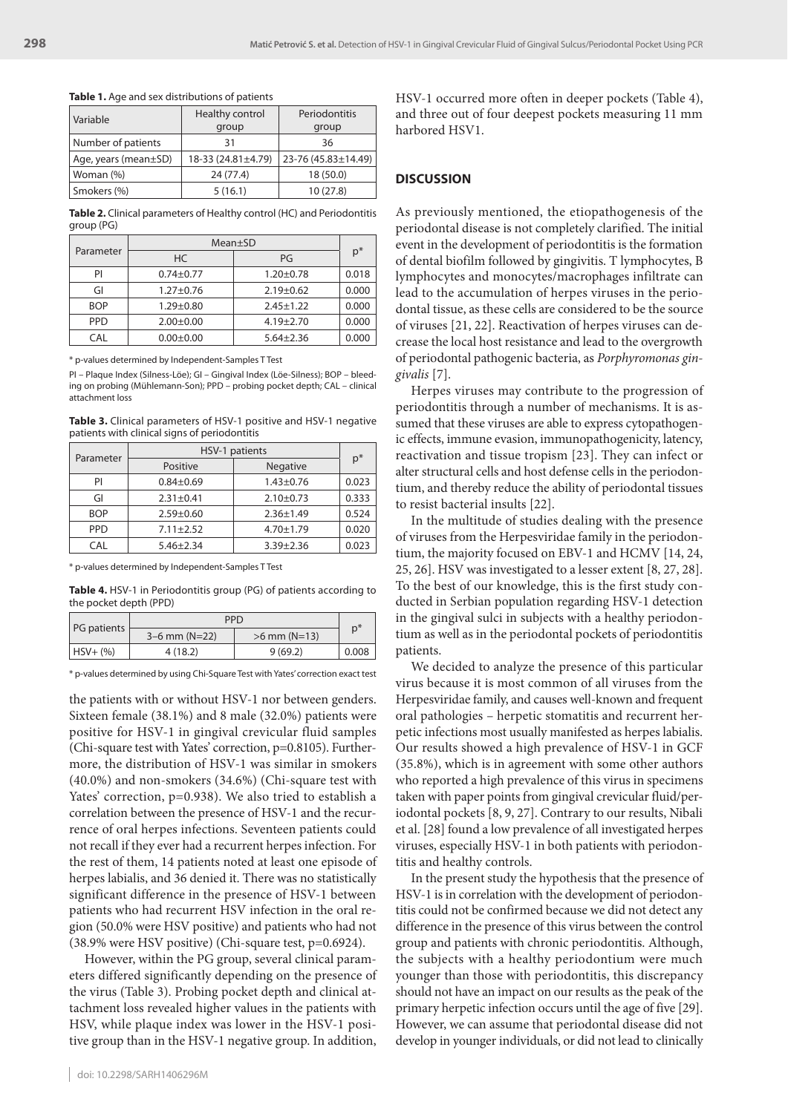|  |  |  |  |  |  |  |  |  |  | <b>Table 1.</b> Age and sex distributions of patients |  |
|--|--|--|--|--|--|--|--|--|--|-------------------------------------------------------|--|
|--|--|--|--|--|--|--|--|--|--|-------------------------------------------------------|--|

| Variable                   | Healthy control    | Periodontitis       |  |
|----------------------------|--------------------|---------------------|--|
|                            | group              | group               |  |
| Number of patients         | 31                 | 36                  |  |
| Age, years (mean $\pm$ SD) | 18-33 (24.81±4.79) | 23-76 (45.83±14.49) |  |
| Woman (%)                  | 24 (77.4)          | 18 (50.0)           |  |
| Smokers (%)                | 5(16.1)            | 10 (27.8)           |  |

**Table 2.** Clinical parameters of Healthy control (HC) and Periodontitis group (PG)

|            | Mean±SD         |                 |       |  |
|------------|-----------------|-----------------|-------|--|
| Parameter  | HC              | PG              | $p^*$ |  |
| PI         | $0.74 + 0.77$   | $1.20 + 0.78$   | 0.018 |  |
| GI         | $1.27 + 0.76$   | $2.19 + 0.62$   | 0.000 |  |
| <b>BOP</b> | $1.29 + 0.80$   | $2.45 \pm 1.22$ | 0.000 |  |
| <b>PPD</b> | $2.00 \pm 0.00$ | $4.19 + 2.70$   | 0.000 |  |
| CAL        | $0.00 \pm 0.00$ | $5.64 \pm 2.36$ | 0.000 |  |

\* p-values determined by Independent-Samples T Test

PI – Plaque Index (Silness-Löe); GI – Gingival Index (Löe-Silness); BOP – bleeding on probing (Mühlemann-Son); PPD – probing pocket depth; CAL – clinical attachment loss

**Table 3.** Clinical parameters of HSV-1 positive and HSV-1 negative patients with clinical signs of periodontitis

|            | HSV-1 patients  |                 |       |  |
|------------|-----------------|-----------------|-------|--|
| Parameter  | Positive        | Negative        | $p^*$ |  |
| PI         | $0.84 \pm 0.69$ | $1.43 + 0.76$   | 0.023 |  |
| GI         | $2.31 \pm 0.41$ | $2.10+0.73$     | 0.333 |  |
| <b>BOP</b> | $2.59 + 0.60$   | $2.36 \pm 1.49$ | 0.524 |  |
| <b>PPD</b> | $7.11 \pm 2.52$ | $4.70 \pm 1.79$ | 0.020 |  |
| CAL        | $5.46 + 2.34$   | $3.39 + 2.36$   | 0.023 |  |

\* p-values determined by Independent-Samples T Test

**Table 4.** HSV-1 in Periodontitis group (PG) of patients according to the pocket depth (PPD)

|             | <b>PPD</b>      |                |       |  |
|-------------|-----------------|----------------|-------|--|
| PG patients | $3-6$ mm (N=22) | $>6$ mm (N=13) | D,    |  |
| $HSV+(%)$   | 4(18.2)         | 9(69.2)        | 0.008 |  |

\* p-values determined by using Chi-Square Test with Yates' correction exact test

the patients with or without HSV-1 nor between genders. Sixteen female (38.1%) and 8 male (32.0%) patients were positive for HSV-1 in gingival crevicular fluid samples (Chi-square test with Yates' correction, p=0.8105). Furthermore, the distribution of HSV-1 was similar in smokers (40.0%) and non-smokers (34.6%) (Chi-square test with Yates' correction, p=0.938). We also tried to establish a correlation between the presence of HSV-1 and the recurrence of oral herpes infections. Seventeen patients could not recall if they ever had a recurrent herpes infection. For the rest of them, 14 patients noted at least one episode of herpes labialis, and 36 denied it. There was no statistically significant difference in the presence of HSV-1 between patients who had recurrent HSV infection in the oral region (50.0% were HSV positive) and patients who had not (38.9% were HSV positive) (Chi-square test, p=0.6924).

However, within the PG group, several clinical parameters differed significantly depending on the presence of the virus (Table 3). Probing pocket depth and clinical attachment loss revealed higher values in the patients with HSV, while plaque index was lower in the HSV-1 positive group than in the HSV-1 negative group. In addition,

HSV-1 occurred more often in deeper pockets (Table 4), and three out of four deepest pockets measuring 11 mm harbored HSV1.

#### **DISCUSSION**

As previously mentioned, the etiopathogenesis of the periodontal disease is not completely clarified. The initial event in the development of periodontitis is the formation of dental biofilm followed by gingivitis. T lymphocytes, B lymphocytes and monocytes/macrophages infiltrate can lead to the accumulation of herpes viruses in the periodontal tissue, as these cells are considered to be the source of viruses [21, 22]. Reactivation of herpes viruses can decrease the local host resistance and lead to the overgrowth of periodontal pathogenic bacteria, as *Porphyromonas gingivalis* [7].

Herpes viruses may contribute to the progression of periodontitis through a number of mechanisms. It is assumed that these viruses are able to express cytopathogenic effects, immune evasion, immunopathogenicity, latency, reactivation and tissue tropism [23]. They can infect or alter structural cells and host defense cells in the periodontium, and thereby reduce the ability of periodontal tissues to resist bacterial insults [22].

In the multitude of studies dealing with the presence of viruses from the Herpesviridae family in the periodontium, the majority focused on EBV-1 and HCMV [14, 24, 25, 26]. HSV was investigated to a lesser extent [8, 27, 28]. To the best of our knowledge, this is the first study conducted in Serbian population regarding HSV-1 detection in the gingival sulci in subjects with a healthy periodontium as well as in the periodontal pockets of periodontitis patients.

We decided to analyze the presence of this particular virus because it is most common of all viruses from the Herpesviridae family, and causes well-known and frequent oral pathologies – herpetic stomatitis and recurrent herpetic infections most usually manifested as herpes labialis. Our results showed a high prevalence of HSV-1 in GCF (35.8%), which is in agreement with some other authors who reported a high prevalence of this virus in specimens taken with paper points from gingival crevicular fluid/periodontal pockets [8, 9, 27]. Contrary to our results, Nibali et al. [28] found a low prevalence of all investigated herpes viruses, especially HSV-1 in both patients with periodontitis and healthy controls.

In the present study the hypothesis that the presence of HSV-1 is in correlation with the development of periodontitis could not be confirmed because we did not detect any difference in the presence of this virus between the control group and patients with chronic periodontitis. Although, the subjects with a healthy periodontium were much younger than those with periodontitis, this discrepancy should not have an impact on our results as the peak of the primary herpetic infection occurs until the age of five [29]. However, we can assume that periodontal disease did not develop in younger individuals, or did not lead to clinically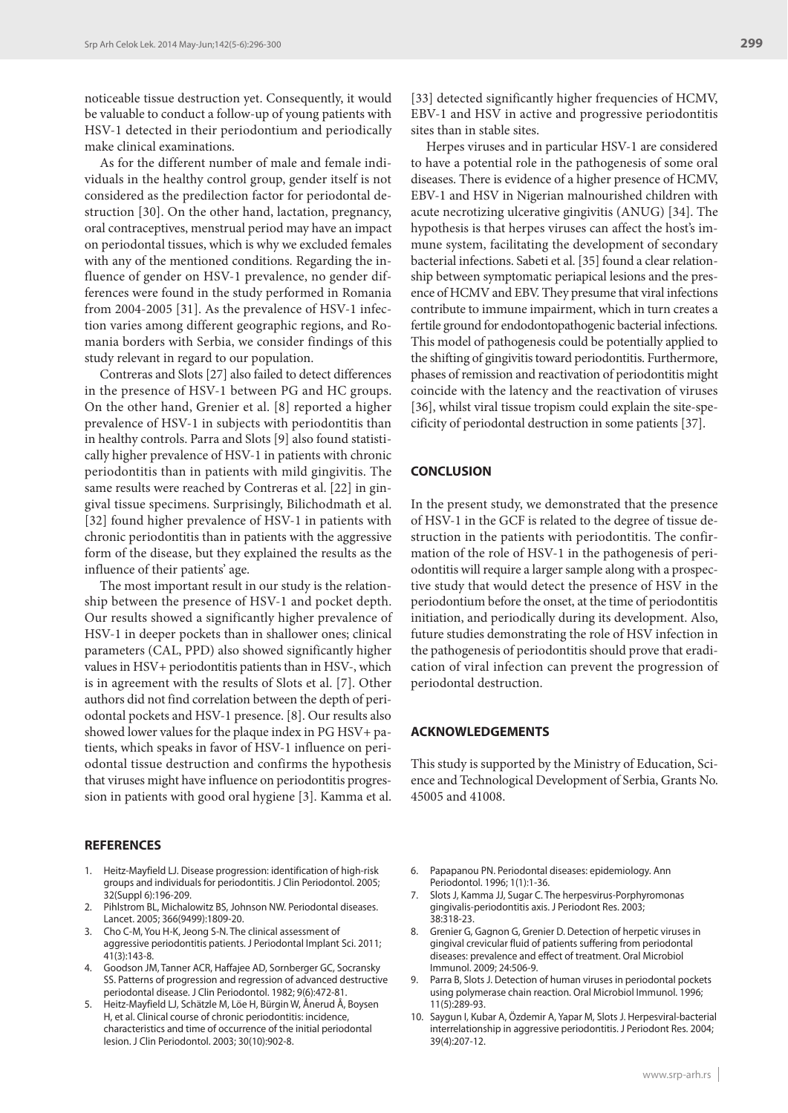noticeable tissue destruction yet. Consequently, it would be valuable to conduct a follow-up of young patients with HSV-1 detected in their periodontium and periodically make clinical examinations.

As for the different number of male and female individuals in the healthy control group, gender itself is not considered as the predilection factor for periodontal destruction [30]. On the other hand, lactation, pregnancy, oral contraceptives, menstrual period may have an impact on periodontal tissues, which is why we excluded females with any of the mentioned conditions. Regarding the influence of gender on HSV-1 prevalence, no gender differences were found in the study performed in Romania from 2004-2005 [31]. As the prevalence of HSV-1 infection varies among different geographic regions, and Romania borders with Serbia, we consider findings of this study relevant in regard to our population.

Contreras and Slots [27] also failed to detect differences in the presence of HSV-1 between PG and HC groups. On the other hand, Grenier et al. [8] reported a higher prevalence of HSV-1 in subjects with periodontitis than in healthy controls. Parra and Slots [9] also found statistically higher prevalence of HSV-1 in patients with chronic periodontitis than in patients with mild gingivitis. The same results were reached by Contreras et al. [22] in gingival tissue specimens. Surprisingly, Bilichodmath et al. [32] found higher prevalence of HSV-1 in patients with chronic periodontitis than in patients with the aggressive form of the disease, but they explained the results as the influence of their patients' age.

The most important result in our study is the relationship between the presence of HSV-1 and pocket depth. Our results showed a significantly higher prevalence of HSV-1 in deeper pockets than in shallower ones; clinical parameters (CAL, PPD) also showed significantly higher values in HSV+ periodontitis patients than in HSV-, which is in agreement with the results of Slots et al. [7]. Other authors did not find correlation between the depth of periodontal pockets and HSV-1 presence. [8]. Our results also showed lower values for the plaque index in PG HSV+ patients, which speaks in favor of HSV-1 influence on periodontal tissue destruction and confirms the hypothesis that viruses might have influence on periodontitis progression in patients with good oral hygiene [3]. Kamma et al.

#### **REFERENCES**

- 1. Heitz-Mayfield LJ. Disease progression: identification of high-risk groups and individuals for periodontitis. J Clin Periodontol. 2005; 32(Suppl 6):196-209.
- 2. Pihlstrom BL, Michalowitz BS, Johnson NW. Periodontal diseases. Lancet. 2005; 366(9499):1809-20.
- 3. Cho C-M, You H-K, Jeong S-N. The clinical assessment of aggressive periodontitis patients. J Periodontal Implant Sci. 2011; 41(3):143-8.
- 4. Goodson JM, Tanner ACR, Haffajee AD, Sornberger GC, Socransky SS. Patterns of progression and regression of advanced destructive periodontal disease. J Clin Periodontol. 1982; 9(6):472-81.
- 5. Heitz-Mayfield LJ, Schätzle M, Löe H, Bürgin W, Ånerud Å, Boysen H, et al. Clinical course of chronic periodontitis: incidence, characteristics and time of occurrence of the initial periodontal lesion. J Clin Periodontol. 2003; 30(10):902-8.

[33] detected significantly higher frequencies of HCMV, EBV-1 and HSV in active and progressive periodontitis sites than in stable sites.

Herpes viruses and in particular HSV-1 are considered to have a potential role in the pathogenesis of some oral diseases. There is evidence of a higher presence of HCMV, EBV-1 and HSV in Nigerian malnourished children with acute necrotizing ulcerative gingivitis (ANUG) [34]. The hypothesis is that herpes viruses can affect the host's immune system, facilitating the development of secondary bacterial infections. Sabeti et al. [35] found a clear relationship between symptomatic periapical lesions and the presence of HCMV and EBV. They presume that viral infections contribute to immune impairment, which in turn creates a fertile ground for endodontopathogenic bacterial infections. This model of pathogenesis could be potentially applied to the shifting of gingivitis toward periodontitis. Furthermore, phases of remission and reactivation of periodontitis might coincide with the latency and the reactivation of viruses [36], whilst viral tissue tropism could explain the site-specificity of periodontal destruction in some patients [37].

### **CONCLUSION**

In the present study, we demonstrated that the presence of HSV-1 in the GCF is related to the degree of tissue destruction in the patients with periodontitis. The confirmation of the role of HSV-1 in the pathogenesis of periodontitis will require a larger sample along with a prospective study that would detect the presence of HSV in the periodontium before the onset, at the time of periodontitis initiation, and periodically during its development. Also, future studies demonstrating the role of HSV infection in the pathogenesis of periodontitis should prove that eradication of viral infection can prevent the progression of periodontal destruction.

#### **ACKNOWLEDGEMENTS**

This study is supported by the Ministry of Education, Science and Technological Development of Serbia, Grants No. 45005 and 41008.

- 6. Papapanou PN. Periodontal diseases: epidemiology. Ann Periodontol. 1996; 1(1):1-36.
- 7. Slots J, Kamma JJ, Sugar C. The herpesvirus-Porphyromonas gingivalis-periodontitis axis. J Periodont Res. 2003; 38:318-23.
- 8. Grenier G, Gagnon G, Grenier D. Detection of herpetic viruses in gingival crevicular fluid of patients suffering from periodontal diseases: prevalence and effect of treatment. Oral Microbiol Immunol. 2009; 24:506-9.
- 9. Parra B, Slots J. Detection of human viruses in periodontal pockets using polymerase chain reaction. Oral Microbiol Immunol. 1996; 11(5):289-93.
- 10. Saygun I, Kubar A, Özdemir A, Yapar M, Slots J. Herpesviral-bacterial interrelationship in aggressive periodontitis. J Periodont Res. 2004; 39(4):207-12.